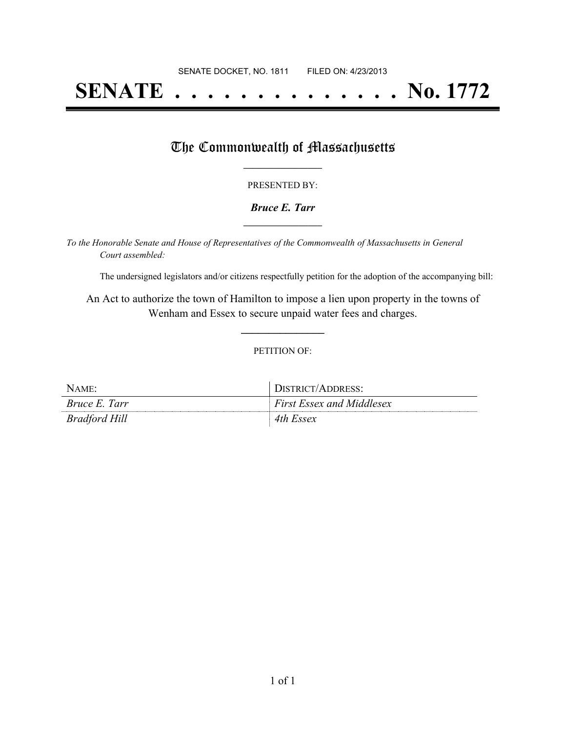# **SENATE . . . . . . . . . . . . . . No. 1772**

### The Commonwealth of Massachusetts

#### PRESENTED BY:

#### *Bruce E. Tarr* **\_\_\_\_\_\_\_\_\_\_\_\_\_\_\_\_\_**

*To the Honorable Senate and House of Representatives of the Commonwealth of Massachusetts in General Court assembled:*

The undersigned legislators and/or citizens respectfully petition for the adoption of the accompanying bill:

An Act to authorize the town of Hamilton to impose a lien upon property in the towns of Wenham and Essex to secure unpaid water fees and charges.

**\_\_\_\_\_\_\_\_\_\_\_\_\_\_\_**

#### PETITION OF:

| NAME:                | DISTRICT/ADDRESS:                |
|----------------------|----------------------------------|
| <i>Bruce E. Tarr</i> | <b>First Essex and Middlesex</b> |
| Bradford Hill        | 4th Essex                        |